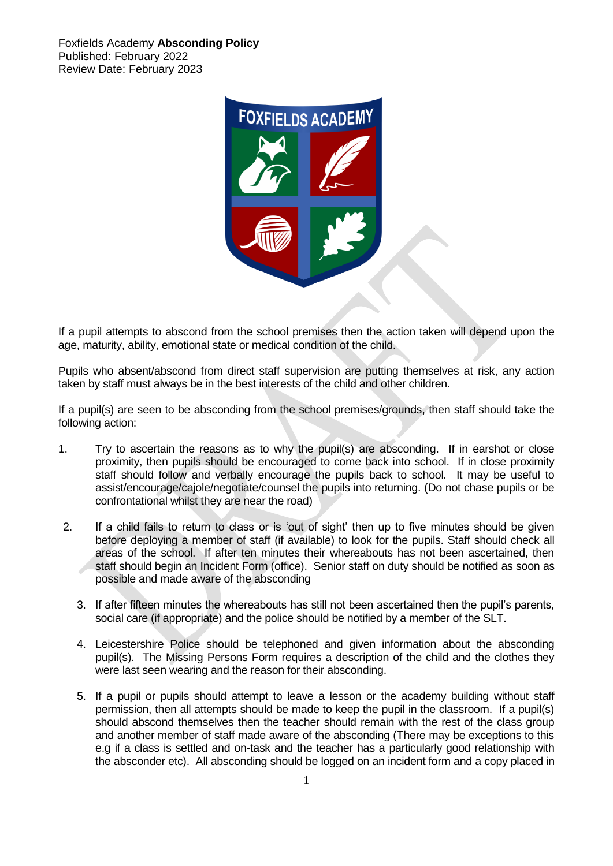Foxfields Academy **Absconding Policy** Published: February 2022 Review Date: February 2023



If a pupil attempts to abscond from the school premises then the action taken will depend upon the age, maturity, ability, emotional state or medical condition of the child.

Pupils who absent/abscond from direct staff supervision are putting themselves at risk, any action taken by staff must always be in the best interests of the child and other children.

If a pupil(s) are seen to be absconding from the school premises/grounds, then staff should take the following action:

- 1. Try to ascertain the reasons as to why the pupil(s) are absconding. If in earshot or close proximity, then pupils should be encouraged to come back into school. If in close proximity staff should follow and verbally encourage the pupils back to school. It may be useful to assist/encourage/cajole/negotiate/counsel the pupils into returning. (Do not chase pupils or be confrontational whilst they are near the road)
- 2. If a child fails to return to class or is 'out of sight' then up to five minutes should be given before deploying a member of staff (if available) to look for the pupils. Staff should check all areas of the school. If after ten minutes their whereabouts has not been ascertained, then staff should begin an Incident Form (office). Senior staff on duty should be notified as soon as possible and made aware of the absconding
	- 3. If after fifteen minutes the whereabouts has still not been ascertained then the pupil's parents, social care (if appropriate) and the police should be notified by a member of the SLT.
	- 4. Leicestershire Police should be telephoned and given information about the absconding pupil(s). The Missing Persons Form requires a description of the child and the clothes they were last seen wearing and the reason for their absconding.
	- 5. If a pupil or pupils should attempt to leave a lesson or the academy building without staff permission, then all attempts should be made to keep the pupil in the classroom. If a pupil(s) should abscond themselves then the teacher should remain with the rest of the class group and another member of staff made aware of the absconding (There may be exceptions to this e.g if a class is settled and on-task and the teacher has a particularly good relationship with the absconder etc). All absconding should be logged on an incident form and a copy placed in